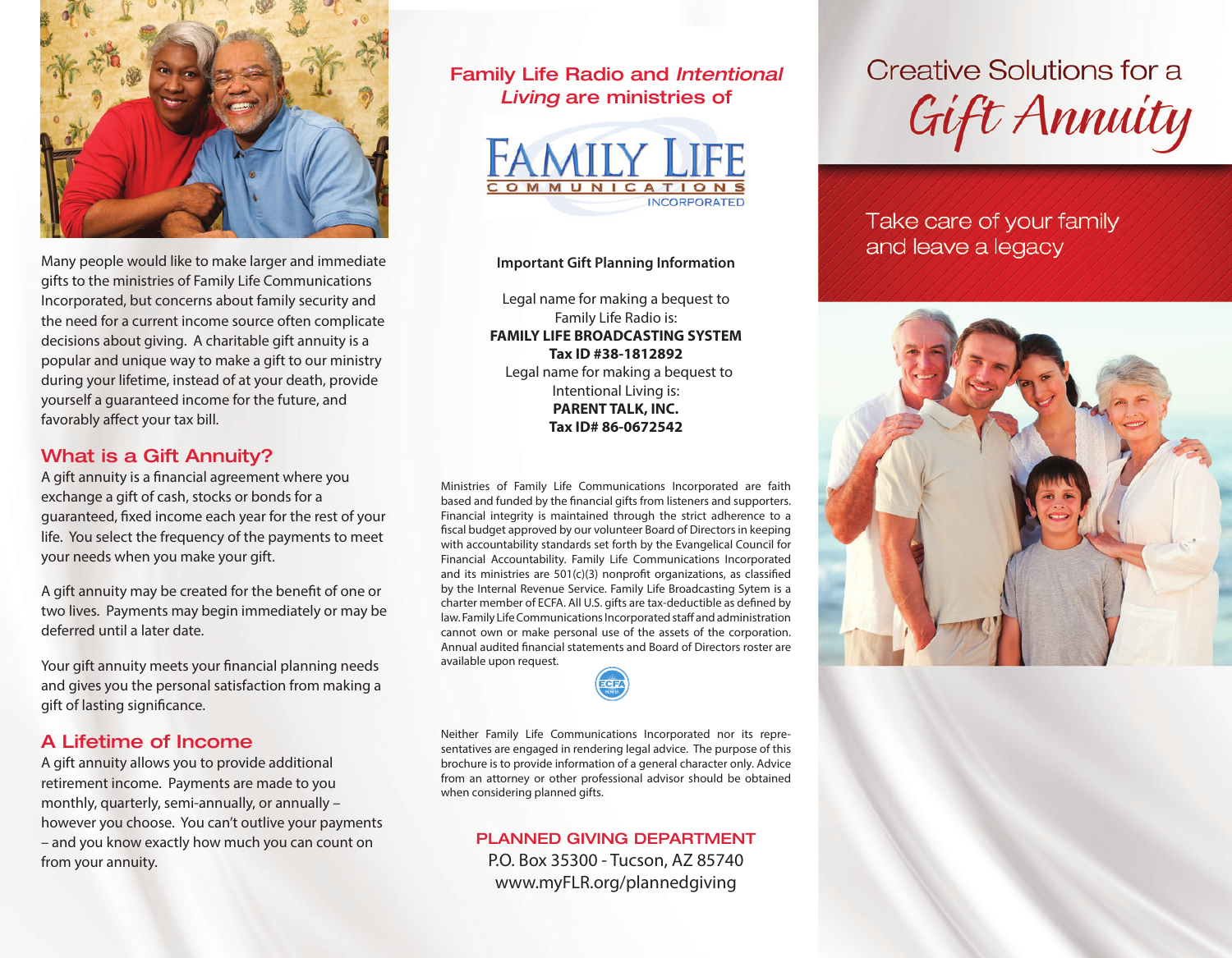

Many people would like to make larger and immediate gifts to the ministries of Family Life Communications Incorporated, but concerns about family security and the need for a current income source often complicate decisions about giving. A charitable gift annuity is a popular and unique way to make a gift to our ministry during your lifetime, instead of at your death, provide yourself a guaranteed income for the future, and favorably affect your tax bill.

## What is a Gift Annuity?

A gift annuity is a financial agreement where you exchange a gift of cash, stocks or bonds for a guaranteed, fixed income each year for the rest of your life. You select the frequency of the payments to meet your needs when you make your gift.

A gift annuity may be created for the benefit of one or two lives. Payments may begin immediately or may be deferred until a later date.

Your gift annuity meets your financial planning needs and gives you the personal satisfaction from making a gift of lasting significance.

## A Lifetime of Income

A gift annuity allows you to provide additional retirement income. Payments are made to you monthly, quarterly, semi-annually, or annually – however you choose. You can't outlive your payments – and you know exactly how much you can count on from your annuity.

Family Life Radio and *Intentional Living* are ministries of



#### **Important Gift Planning Information**

Legal name for making a bequest to Family Life Radio is: **FAMILY LIFE BROADCASTING SYSTEM Tax ID #38-1812892** Legal name for making a bequest to Intentional Living is:

**PARENT TALK, INC. Tax ID# 86-0672542**

Ministries of Family Life Communications Incorporated are faith based and funded by the financial gifts from listeners and supporters. Financial integrity is maintained through the strict adherence to a fiscal budget approved by our volunteer Board of Directors in keeping with accountability standards set forth by the Evangelical Council for Financial Accountability. Family Life Communications Incorporated and its ministries are 501(c)(3) nonprofit organizations, as classified by the Internal Revenue Service. Family Life Broadcasting Sytem is a charter member of ECFA. All U.S. gifts are tax-deductible as defined by law. Family Life Communications Incorporated staff and administration cannot own or make personal use of the assets of the corporation. Annual audited financial statements and Board of Directors roster are available upon request.

Neither Family Life Communications Incorporated nor its representatives are engaged in rendering legal advice. The purpose of this brochure is to provide information of a general character only. Advice from an attorney or other professional advisor should be obtained when considering planned gifts.

## PLANNED GIVING DEPARTMENT

P.O. Box 35300 - Tucson, AZ 85740 www.myFLR.org/plannedgiving

Creative Solutions for a Gift Annuity

Take care of your family and leave a legacy